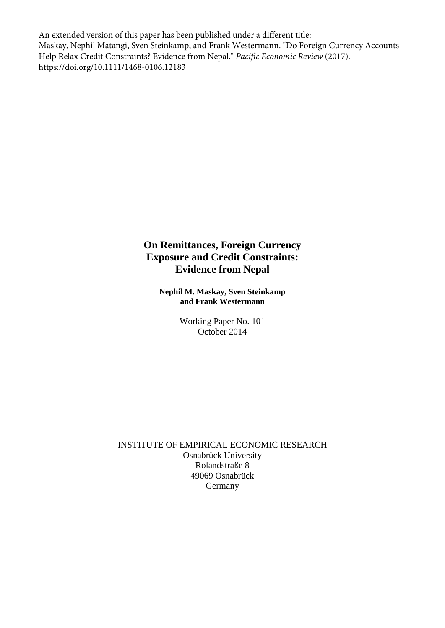An extended version of this paper has been published under a different title: Maskay, Nephil Matangi, Sven Steinkamp, and Frank Westermann. "Do Foreign Currency Accounts Help Relax Credit Constraints? Evidence from Nepal." *Pacific Economic Review* (2017). https://doi.org/10.1111/1468-0106.12183

## **On Remittances, Foreign Currency Exposure and Credit Constraints: Evidence from Nepal**

**Nephil M. Maskay, Sven Steinkamp and Frank Westermann**

> Working Paper No. 101 October 2014

INSTITUTE OF EMPIRICAL ECONOMIC RESEARCH Osnabrück University Rolandstraße 8 49069 Osnabrück Germany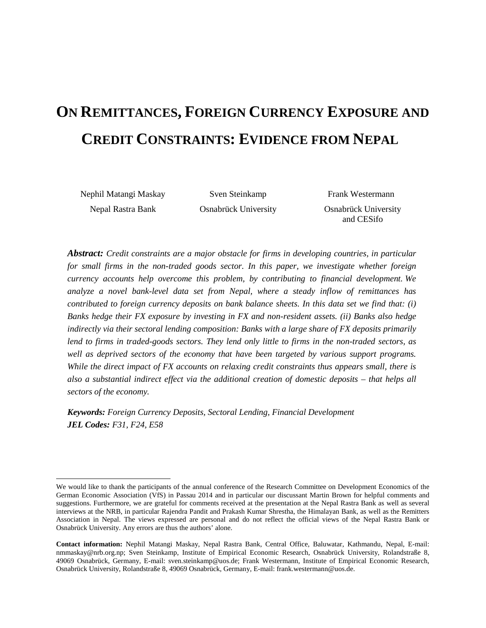# **ON REMITTANCES, FOREIGN CURRENCY EXPOSURE AND CREDIT CONSTRAINTS: EVIDENCE FROM NEPAL[1](#page-1-0)**

Nephil Matangi Maskay Sven Steinkamp Frank Westermann

Nepal Rastra Bank Osnabrück University Osnabrück University and CESifo

*Abstract: Credit constraints are a major obstacle for firms in developing countries, in particular for small firms in the non-traded goods sector. In this paper, we investigate whether foreign currency accounts help overcome this problem, by contributing to financial development. We analyze a novel bank-level data set from Nepal, where a steady inflow of remittances has contributed to foreign currency deposits on bank balance sheets. In this data set we find that: (i) Banks hedge their FX exposure by investing in FX and non-resident assets. (ii) Banks also hedge indirectly via their sectoral lending composition: Banks with a large share of FX deposits primarily lend to firms in traded-goods sectors. They lend only little to firms in the non-traded sectors, as well as deprived sectors of the economy that have been targeted by various support programs. While the direct impact of FX accounts on relaxing credit constraints thus appears small, there is also a substantial indirect effect via the additional creation of domestic deposits – that helps all sectors of the economy.*

*Keywords: Foreign Currency Deposits, Sectoral Lending, Financial Development JEL Codes: F31, F24, E58* 

<span id="page-1-0"></span>We would like to thank the participants of the annual conference of the Research Committee on Development Economics of the German Economic Association (VfS) in Passau 2014 and in particular our discussant Martin Brown for helpful comments and suggestions. Furthermore, we are grateful for comments received at the presentation at the Nepal Rastra Bank as well as several interviews at the NRB, in particular Rajendra Pandit and Prakash Kumar Shrestha, the Himalayan Bank, as well as the Remitters Association in Nepal. The views expressed are personal and do not reflect the official views of the Nepal Rastra Bank or Osnabrück University. Any errors are thus the authors' alone. <sup>2</sup>

<span id="page-1-1"></span>**Contact information:** Nephil Matangi Maskay, Nepal Rastra Bank, Central Office, Baluwatar, Kathmandu, Nepal, E-mail: [nmmaskay@nrb.org.np;](mailto:nmmaskay@nrb.org.np) Sven Steinkamp, Institute of Empirical Economic Research, Osnabrück University, Rolandstraße 8, 49069 Osnabrück, Germany, E-mail: [sven.steinkamp@uos.de;](mailto:sven.steinkamp@uos.de) Frank Westermann, Institute of Empirical Economic Research, Osnabrück University, Rolandstraße 8, 49069 Osnabrück, Germany, E-mail: frank.westerman[n@uos.de.](mailto:sven.steinkamp@uos.de)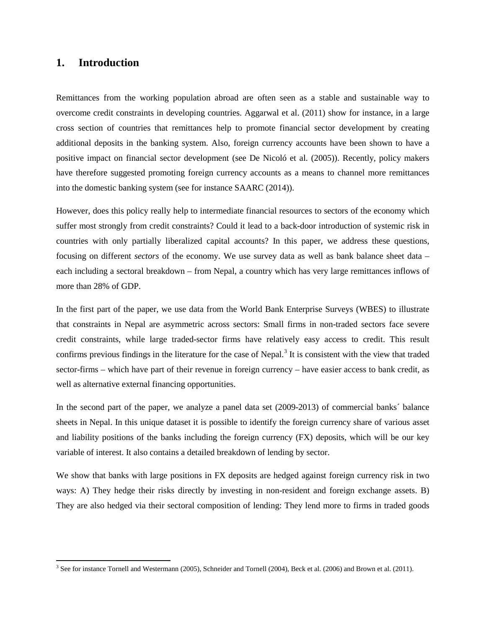## **1. Introduction**

 $\ddot{\phantom{a}}$ 

Remittances from the working population abroad are often seen as a stable and sustainable way to overcome credit constraints in developing countries. Aggarwal et al. (2011) show for instance, in a large cross section of countries that remittances help to promote financial sector development by creating additional deposits in the banking system. Also, foreign currency accounts have been shown to have a positive impact on financial sector development (see De Nicoló et al. (2005)). Recently, policy makers have therefore suggested promoting foreign currency accounts as a means to channel more remittances into the domestic banking system (see for instance SAARC (2014)).

However, does this policy really help to intermediate financial resources to sectors of the economy which suffer most strongly from credit constraints? Could it lead to a back-door introduction of systemic risk in countries with only partially liberalized capital accounts? In this paper, we address these questions, focusing on different *sectors* of the economy. We use survey data as well as bank balance sheet data – each including a sectoral breakdown – from Nepal, a country which has very large remittances inflows of more than 28% of GDP.

In the first part of the paper, we use data from the World Bank Enterprise Surveys (WBES) to illustrate that constraints in Nepal are asymmetric across sectors: Small firms in non-traded sectors face severe credit constraints, while large traded-sector firms have relatively easy access to credit. This result confirms previous findings in the literature for the case of Nepal.<sup>[3](#page-2-0)</sup> It is consistent with the view that traded sector-firms – which have part of their revenue in foreign currency – have easier access to bank credit, as well as alternative external financing opportunities.

In the second part of the paper, we analyze a panel data set (2009-2013) of commercial banks´ balance sheets in Nepal. In this unique dataset it is possible to identify the foreign currency share of various asset and liability positions of the banks including the foreign currency (FX) deposits, which will be our key variable of interest. It also contains a detailed breakdown of lending by sector.

We show that banks with large positions in FX deposits are hedged against foreign currency risk in two ways: A) They hedge their risks directly by investing in non-resident and foreign exchange assets. B) They are also hedged via their sectoral composition of lending: They lend more to firms in traded goods

<span id="page-2-0"></span><sup>3</sup> See for instance Tornell and Westermann (2005), Schneider and Tornell (2004), Beck et al. (2006) and Brown et al. (2011).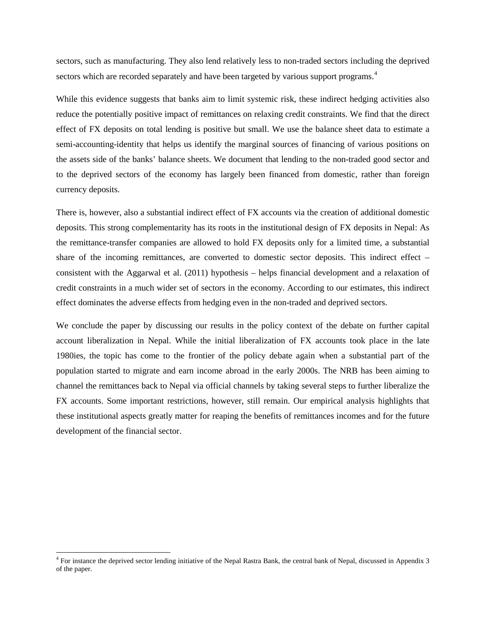sectors, such as manufacturing. They also lend relatively less to non-traded sectors including the deprived sectors which are recorded separately and have been targeted by various support programs.<sup>[4](#page-3-0)</sup>

While this evidence suggests that banks aim to limit systemic risk, these indirect hedging activities also reduce the potentially positive impact of remittances on relaxing credit constraints. We find that the direct effect of FX deposits on total lending is positive but small. We use the balance sheet data to estimate a semi-accounting-identity that helps us identify the marginal sources of financing of various positions on the assets side of the banks' balance sheets. We document that lending to the non-traded good sector and to the deprived sectors of the economy has largely been financed from domestic, rather than foreign currency deposits.

There is, however, also a substantial indirect effect of FX accounts via the creation of additional domestic deposits. This strong complementarity has its roots in the institutional design of FX deposits in Nepal: As the remittance-transfer companies are allowed to hold FX deposits only for a limited time, a substantial share of the incoming remittances, are converted to domestic sector deposits. This indirect effect – consistent with the Aggarwal et al. (2011) hypothesis – helps financial development and a relaxation of credit constraints in a much wider set of sectors in the economy. According to our estimates, this indirect effect dominates the adverse effects from hedging even in the non-traded and deprived sectors.

We conclude the paper by discussing our results in the policy context of the debate on further capital account liberalization in Nepal. While the initial liberalization of FX accounts took place in the late 1980ies, the topic has come to the frontier of the policy debate again when a substantial part of the population started to migrate and earn income abroad in the early 2000s. The NRB has been aiming to channel the remittances back to Nepal via official channels by taking several steps to further liberalize the FX accounts. Some important restrictions, however, still remain. Our empirical analysis highlights that these institutional aspects greatly matter for reaping the benefits of remittances incomes and for the future development of the financial sector.

 $\overline{a}$ 

<span id="page-3-0"></span> $4$  For instance the deprived sector lending initiative of the Nepal Rastra Bank, the central bank of Nepal, discussed in Appendix 3 of the paper.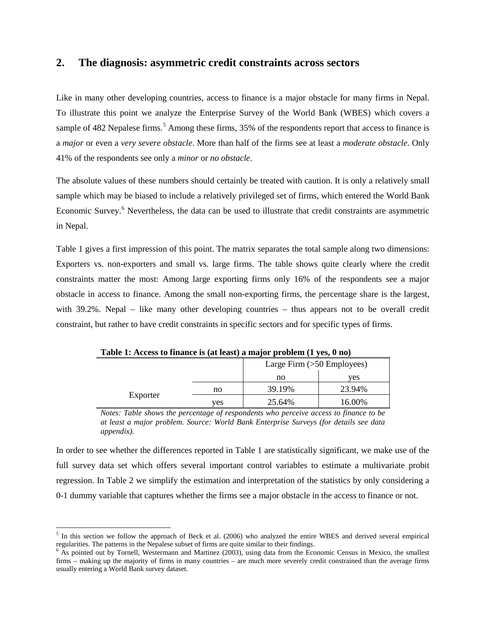## **2. The diagnosis: asymmetric credit constraints across sectors**

Like in many other developing countries, access to finance is a major obstacle for many firms in Nepal. To illustrate this point we analyze the Enterprise Survey of the World Bank (WBES) which covers a sample of 482 Nepalese firms.<sup>[5](#page-4-0)</sup> Among these firms, 35% of the respondents report that access to finance is a *major* or even a *very severe obstacle*. More than half of the firms see at least a *moderate obstacle*. Only 41% of the respondents see only a *minor* or *no obstacle*.

The absolute values of these numbers should certainly be treated with caution. It is only a relatively small sample which may be biased to include a relatively privileged set of firms, which entered the World Bank Economic Survey.<sup>[6](#page-4-1)</sup> Nevertheless, the data can be used to illustrate that credit constraints are asymmetric in Nepal.

Table 1 gives a first impression of this point. The matrix separates the total sample along two dimensions: Exporters vs. non-exporters and small vs. large firms. The table shows quite clearly where the credit constraints matter the most: Among large exporting firms only 16% of the respondents see a major obstacle in access to finance. Among the small non-exporting firms, the percentage share is the largest, with 39.2%. Nepal – like many other developing countries – thus appears not to be overall credit constraint, but rather to have credit constraints in specific sectors and for specific types of firms.

| $1.999$ $1.999$ $0.999$ $1.999$ $0.999$ $0.999$<br>. .<br>---------<br>$\cdots$ |     |                              |        |  |  |  |  |
|---------------------------------------------------------------------------------|-----|------------------------------|--------|--|--|--|--|
|                                                                                 |     | Large Firm $(>50$ Employees) |        |  |  |  |  |
|                                                                                 |     | no                           | ves    |  |  |  |  |
| Exporter                                                                        | no  | 39.19%                       | 23.94% |  |  |  |  |
|                                                                                 | ves | 25.64%                       | 16.00% |  |  |  |  |

**Table 1: Access to finance is (at least) a major problem (1 yes, 0 no)**

*Notes: Table shows the percentage of respondents who perceive access to finance to be at least a major problem. Source: World Bank Enterprise Surveys (for details see data appendix).*

In order to see whether the differences reported in Table 1 are statistically significant, we make use of the full survey data set which offers several important control variables to estimate a multivariate probit regression. In Table 2 we simplify the estimation and interpretation of the statistics by only considering a 0-1 dummy variable that captures whether the firms see a major obstacle in the access to finance or not.

<span id="page-4-0"></span> $<sup>5</sup>$  In this section we follow the approach of Beck et al. (2006) who analyzed the entire WBES and derived several empirical regularities. The patterns in the Nepalese subset of firms are quite similar to their findi</sup>  $\overline{a}$ 

<span id="page-4-1"></span> $6$  As pointed out by Tornell, Westermann and Martinez (2003), using data from the Economic Census in Mexico, the smallest firms – making up the majority of firms in many countries – are much more severely credit constrained than the average firms usually entering a World Bank survey dataset.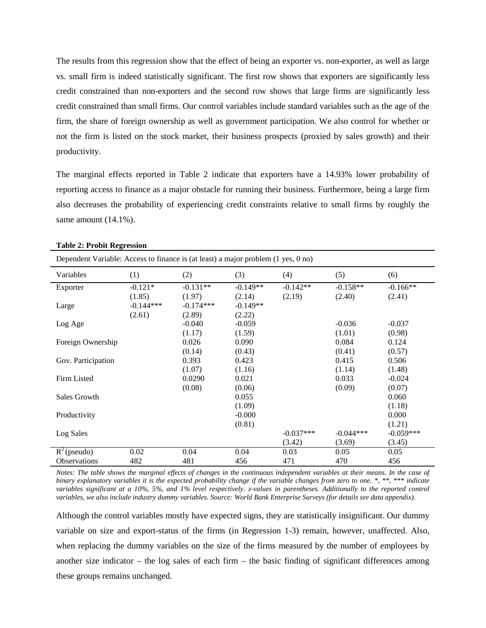The results from this regression show that the effect of being an exporter vs. non-exporter, as well as large vs. small firm is indeed statistically significant. The first row shows that exporters are significantly less credit constrained than non-exporters and the second row shows that large firms are significantly less credit constrained than small firms. Our control variables include standard variables such as the age of the firm, the share of foreign ownership as well as government participation. We also control for whether or not the firm is listed on the stock market, their business prospects (proxied by sales growth) and their productivity.

The marginal effects reported in Table 2 indicate that exporters have a 14.93% lower probability of reporting access to finance as a major obstacle for running their business. Furthermore, being a large firm also decreases the probability of experiencing credit constraints relative to small firms by roughly the same amount  $(14.1\%)$ .

| Dependent Variable: Access to finance is (at least) a major problem (1 yes, 0 no) |             |             |            |             |             |             |  |  |  |
|-----------------------------------------------------------------------------------|-------------|-------------|------------|-------------|-------------|-------------|--|--|--|
| Variables                                                                         | (1)         | (2)         | (3)        | (4)         | (5)         | (6)         |  |  |  |
| Exporter                                                                          | $-0.121*$   | $-0.131**$  | $-0.149**$ | $-0.142**$  | $-0.158**$  | $-0.166**$  |  |  |  |
|                                                                                   | (1.85)      | (1.97)      | (2.14)     | (2.19)      | (2.40)      | (2.41)      |  |  |  |
| Large                                                                             | $-0.144***$ | $-0.174***$ | $-0.149**$ |             |             |             |  |  |  |
|                                                                                   | (2.61)      | (2.89)      | (2.22)     |             |             |             |  |  |  |
| Log Age                                                                           |             | $-0.040$    | $-0.059$   |             | $-0.036$    | $-0.037$    |  |  |  |
|                                                                                   |             | (1.17)      | (1.59)     |             | (1.01)      | (0.98)      |  |  |  |
| Foreign Ownership                                                                 |             | 0.026       | 0.090      |             | 0.084       | 0.124       |  |  |  |
|                                                                                   |             | (0.14)      | (0.43)     |             | (0.41)      | (0.57)      |  |  |  |
| Gov. Participation                                                                |             | 0.393       | 0.423      |             | 0.415       | 0.506       |  |  |  |
|                                                                                   |             | (1.07)      | (1.16)     |             | (1.14)      | (1.48)      |  |  |  |
| Firm Listed                                                                       |             | 0.0290      | 0.021      |             | 0.033       | $-0.024$    |  |  |  |
|                                                                                   |             | (0.08)      | (0.06)     |             | (0.09)      | (0.07)      |  |  |  |
| Sales Growth                                                                      |             |             | 0.055      |             |             | 0.060       |  |  |  |
|                                                                                   |             |             | (1.09)     |             |             | (1.18)      |  |  |  |
| Productivity                                                                      |             |             | $-0.000$   |             |             | 0.000       |  |  |  |
|                                                                                   |             |             | (0.81)     |             |             | (1.21)      |  |  |  |
| Log Sales                                                                         |             |             |            | $-0.037***$ | $-0.044***$ | $-0.059***$ |  |  |  |
|                                                                                   |             |             |            | (3.42)      | (3.69)      | (3.45)      |  |  |  |
| $R^2$ (pseudo)                                                                    | 0.02        | 0.04        | 0.04       | 0.03        | 0.05        | 0.05        |  |  |  |
| <b>Observations</b>                                                               | 482         | 481         | 456        | 471         | 470         | 456         |  |  |  |

**Table 2: Probit Regression**

*Notes: The table shows the marginal effects of changes in the continuous independent variables at their means. In the case of binary explanatory variables it is the expected probability change if the variable changes from zero to one. \*, \*\*, \*\*\* indicate variables significant at a 10%, 5%, and 1% level respectively. z-values in parentheses. Additionally to the reported control variables, we also include industry dummy variables. Source: World Bank Enterprise Surveys (for details see data appendix).*

Although the control variables mostly have expected signs, they are statistically insignificant. Our dummy variable on size and export-status of the firms (in Regression 1-3) remain, however, unaffected. Also, when replacing the dummy variables on the size of the firms measured by the number of employees by another size indicator – the log sales of each firm – the basic finding of significant differences among these groups remains unchanged.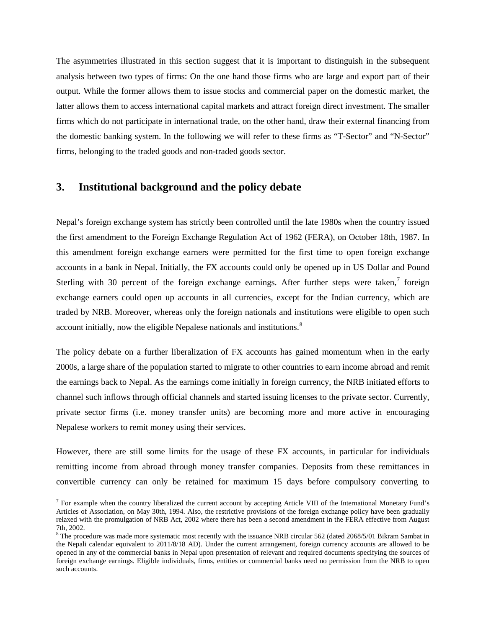The asymmetries illustrated in this section suggest that it is important to distinguish in the subsequent analysis between two types of firms: On the one hand those firms who are large and export part of their output. While the former allows them to issue stocks and commercial paper on the domestic market, the latter allows them to access international capital markets and attract foreign direct investment. The smaller firms which do not participate in international trade, on the other hand, draw their external financing from the domestic banking system. In the following we will refer to these firms as "T-Sector" and "N-Sector" firms, belonging to the traded goods and non-traded goods sector.

## **3. Institutional background and the policy debate**

 $\overline{a}$ 

Nepal's foreign exchange system has strictly been controlled until the late 1980s when the country issued the first amendment to the Foreign Exchange Regulation Act of 1962 (FERA), on October 18th, 1987. In this amendment foreign exchange earners were permitted for the first time to open foreign exchange accounts in a bank in Nepal. Initially, the FX accounts could only be opened up in US Dollar and Pound Sterling with 30 percent of the foreign exchange earnings. After further steps were taken,<sup>[7](#page-6-0)</sup> foreign exchange earners could open up accounts in all currencies, except for the Indian currency, which are traded by NRB. Moreover, whereas only the foreign nationals and institutions were eligible to open such account initially, now the eligible Nepalese nationals and institutions.<sup>[8](#page-6-1)</sup>

The policy debate on a further liberalization of FX accounts has gained momentum when in the early 2000s, a large share of the population started to migrate to other countries to earn income abroad and remit the earnings back to Nepal. As the earnings come initially in foreign currency, the NRB initiated efforts to channel such inflows through official channels and started issuing licenses to the private sector. Currently, private sector firms (i.e. money transfer units) are becoming more and more active in encouraging Nepalese workers to remit money using their services.

However, there are still some limits for the usage of these FX accounts, in particular for individuals remitting income from abroad through money transfer companies. Deposits from these remittances in convertible currency can only be retained for maximum 15 days before compulsory converting to

<span id="page-6-0"></span><sup>&</sup>lt;sup>7</sup> For example when the country liberalized the current account by accepting Article VIII of the International Monetary Fund's Articles of Association, on May 30th, 1994. Also, the restrictive provisions of the foreign exchange policy have been gradually relaxed with the promulgation of NRB Act, 2002 where there has been a second amendment in the FERA effective from August 7th, 2002.

<span id="page-6-1"></span> $8$  The procedure was made more systematic most recently with the issuance NRB circular 562 (dated 2068/5/01 Bikram Sambat in the Nepali calendar equivalent to 2011/8/18 AD). Under the current arrangement, foreign currency accounts are allowed to be opened in any of the commercial banks in Nepal upon presentation of relevant and required documents specifying the sources of foreign exchange earnings. Eligible individuals, firms, entities or commercial banks need no permission from the NRB to open such accounts.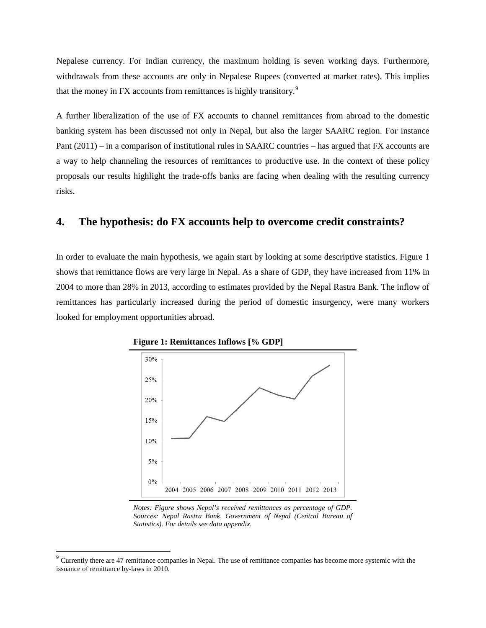Nepalese currency. For Indian currency, the maximum holding is seven working days. Furthermore, withdrawals from these accounts are only in Nepalese Rupees (converted at market rates). This implies that the money in FX accounts from remittances is highly transitory.<sup>[9](#page-7-0)</sup>

A further liberalization of the use of FX accounts to channel remittances from abroad to the domestic banking system has been discussed not only in Nepal, but also the larger SAARC region. For instance Pant (2011) – in a comparison of institutional rules in SAARC countries – has argued that FX accounts are a way to help channeling the resources of remittances to productive use. In the context of these policy proposals our results highlight the trade-offs banks are facing when dealing with the resulting currency risks.

## **4. The hypothesis: do FX accounts help to overcome credit constraints?**

In order to evaluate the main hypothesis, we again start by looking at some descriptive statistics. Figure 1 shows that remittance flows are very large in Nepal. As a share of GDP, they have increased from 11% in 2004 to more than 28% in 2013, according to estimates provided by the Nepal Rastra Bank. The inflow of remittances has particularly increased during the period of domestic insurgency, were many workers looked for employment opportunities abroad.



**Figure 1: Remittances Inflows [% GDP]**

 $\overline{a}$ 

*Notes: Figure shows Nepal's received remittances as percentage of GDP. Sources: Nepal Rastra Bank, Government of Nepal (Central Bureau of Statistics). For details see data appendix.*

<span id="page-7-0"></span> $9$  Currently there are 47 remittance companies in Nepal. The use of remittance companies has become more systemic with the issuance of remittance by-laws in 2010.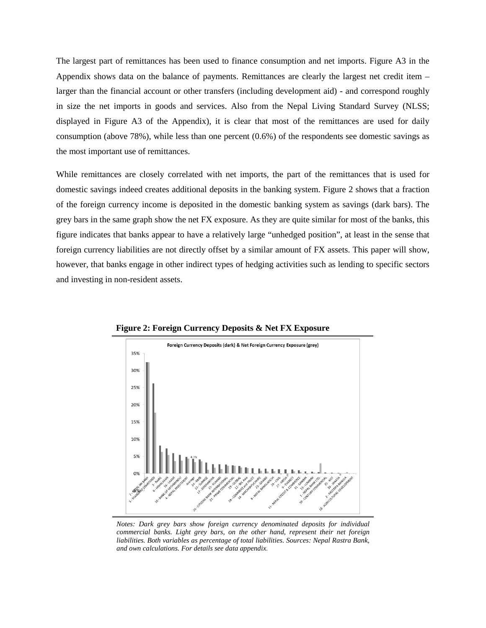The largest part of remittances has been used to finance consumption and net imports. Figure A3 in the Appendix shows data on the balance of payments. Remittances are clearly the largest net credit item – larger than the financial account or other transfers (including development aid) - and correspond roughly in size the net imports in goods and services. Also from the Nepal Living Standard Survey (NLSS; displayed in Figure A3 of the Appendix), it is clear that most of the remittances are used for daily consumption (above 78%), while less than one percent (0.6%) of the respondents see domestic savings as the most important use of remittances.

While remittances are closely correlated with net imports, the part of the remittances that is used for domestic savings indeed creates additional deposits in the banking system. Figure 2 shows that a fraction of the foreign currency income is deposited in the domestic banking system as savings (dark bars). The grey bars in the same graph show the net FX exposure. As they are quite similar for most of the banks, this figure indicates that banks appear to have a relatively large "unhedged position", at least in the sense that foreign currency liabilities are not directly offset by a similar amount of FX assets. This paper will show, however, that banks engage in other indirect types of hedging activities such as lending to specific sectors and investing in non-resident assets.



**Figure 2: Foreign Currency Deposits & Net FX Exposure**

*Notes: Dark grey bars show foreign currency denominated deposits for individual commercial banks. Light grey bars, on the other hand, represent their net foreign liabilities. Both variables as percentage of total liabilities. Sources: Nepal Rastra Bank, and own calculations. For details see data appendix.*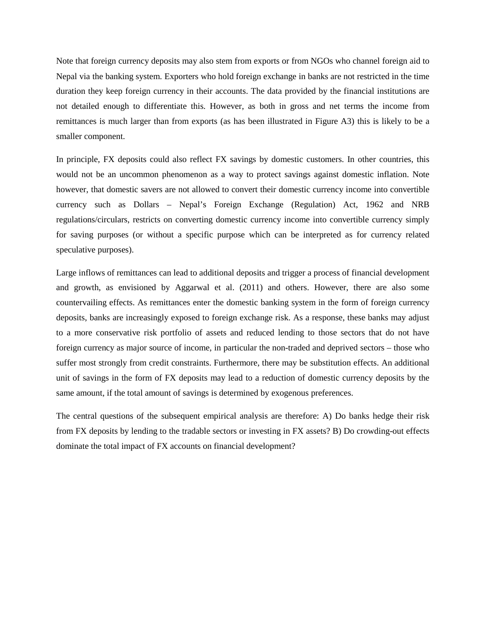Note that foreign currency deposits may also stem from exports or from NGOs who channel foreign aid to Nepal via the banking system. Exporters who hold foreign exchange in banks are not restricted in the time duration they keep foreign currency in their accounts. The data provided by the financial institutions are not detailed enough to differentiate this. However, as both in gross and net terms the income from remittances is much larger than from exports (as has been illustrated in Figure A3) this is likely to be a smaller component.

In principle, FX deposits could also reflect FX savings by domestic customers. In other countries, this would not be an uncommon phenomenon as a way to protect savings against domestic inflation. Note however, that domestic savers are not allowed to convert their domestic currency income into convertible currency such as Dollars – Nepal's Foreign Exchange (Regulation) Act, 1962 and NRB regulations/circulars, restricts on converting domestic currency income into convertible currency simply for saving purposes (or without a specific purpose which can be interpreted as for currency related speculative purposes).

Large inflows of remittances can lead to additional deposits and trigger a process of financial development and growth, as envisioned by Aggarwal et al. (2011) and others. However, there are also some countervailing effects. As remittances enter the domestic banking system in the form of foreign currency deposits, banks are increasingly exposed to foreign exchange risk. As a response, these banks may adjust to a more conservative risk portfolio of assets and reduced lending to those sectors that do not have foreign currency as major source of income, in particular the non-traded and deprived sectors – those who suffer most strongly from credit constraints. Furthermore, there may be substitution effects. An additional unit of savings in the form of FX deposits may lead to a reduction of domestic currency deposits by the same amount, if the total amount of savings is determined by exogenous preferences.

The central questions of the subsequent empirical analysis are therefore: A) Do banks hedge their risk from FX deposits by lending to the tradable sectors or investing in FX assets? B) Do crowding-out effects dominate the total impact of FX accounts on financial development?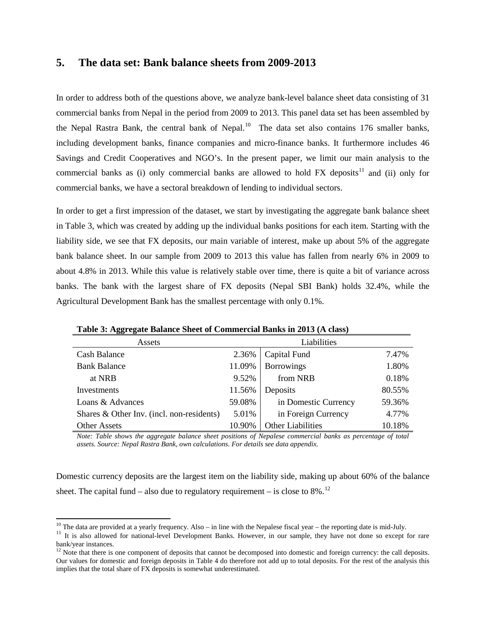## **5. The data set: Bank balance sheets from 2009-2013**

In order to address both of the questions above, we analyze bank-level balance sheet data consisting of 31 commercial banks from Nepal in the period from 2009 to 2013. This panel data set has been assembled by the Nepal Rastra Bank, the central bank of Nepal.<sup>[10](#page-10-0)</sup> The data set also contains 176 smaller banks, including development banks, finance companies and micro-finance banks. It furthermore includes 46 Savings and Credit Cooperatives and NGO's. In the present paper, we limit our main analysis to the commercial banks as (i) only commercial banks are allowed to hold  $FX$  deposits<sup>[11](#page-10-1)</sup> and (ii) only for commercial banks, we have a sectoral breakdown of lending to individual sectors.

In order to get a first impression of the dataset, we start by investigating the aggregate bank balance sheet in Table 3, which was created by adding up the individual banks positions for each item. Starting with the liability side, we see that FX deposits, our main variable of interest, make up about 5% of the aggregate bank balance sheet. In our sample from 2009 to 2013 this value has fallen from nearly 6% in 2009 to about 4.8% in 2013. While this value is relatively stable over time, there is quite a bit of variance across banks. The bank with the largest share of FX deposits (Nepal SBI Bank) holds 32.4%, while the Agricultural Development Bank has the smallest percentage with only 0.1%.

| Assets                                    | Liabilities |                          |        |  |
|-------------------------------------------|-------------|--------------------------|--------|--|
| <b>Cash Balance</b>                       | 2.36%       | Capital Fund             | 7.47%  |  |
| <b>Bank Balance</b>                       | 11.09%      | <b>Borrowings</b>        | 1.80%  |  |
| at NRB                                    | 9.52%       | from NRB                 | 0.18%  |  |
| Investments                               | 11.56%      | Deposits                 | 80.55% |  |
| Loans & Advances                          | 59.08%      | in Domestic Currency     | 59.36% |  |
| Shares & Other Inv. (incl. non-residents) | 5.01%       | in Foreign Currency      | 4.77%  |  |
| <b>Other Assets</b>                       | 10.90%      | <b>Other Liabilities</b> | 10.18% |  |

**Table 3: Aggregate Balance Sheet of Commercial Banks in 2013 (A class)**

*Note: Table shows the aggregate balance sheet positions of Nepalese commercial banks as percentage of total assets. Source: Nepal Rastra Bank, own calculations. For details see data appendix.*

Domestic currency deposits are the largest item on the liability side, making up about 60% of the balance sheet. The capital fund – also due to regulatory requirement – is close to  $8\%$ .<sup>[12](#page-10-2)</sup>

 $\ddot{\phantom{a}}$ 

<span id="page-10-1"></span>

<span id="page-10-0"></span><sup>&</sup>lt;sup>10</sup> The data are provided at a yearly frequency. Also – in line with the Nepalese fiscal year – the reporting date is mid-July.<br><sup>11</sup> It is also allowed for national-level Development Banks. However, in our sample, they h bank/year instances.

<span id="page-10-2"></span> $12$  Note that there is one component of deposits that cannot be decomposed into domestic and foreign currency: the call deposits. Our values for domestic and foreign deposits in Table 4 do therefore not add up to total deposits. For the rest of the analysis this implies that the total share of FX deposits is somewhat underestimated.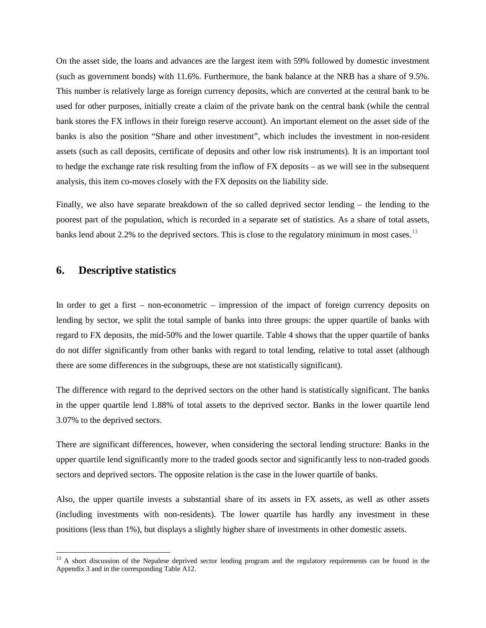On the asset side, the loans and advances are the largest item with 59% followed by domestic investment (such as government bonds) with 11.6%. Furthermore, the bank balance at the NRB has a share of 9.5%. This number is relatively large as foreign currency deposits, which are converted at the central bank to be used for other purposes, initially create a claim of the private bank on the central bank (while the central bank stores the FX inflows in their foreign reserve account). An important element on the asset side of the banks is also the position "Share and other investment", which includes the investment in non-resident assets (such as call deposits, certificate of deposits and other low risk instruments). It is an important tool to hedge the exchange rate risk resulting from the inflow of FX deposits – as we will see in the subsequent analysis, this item co-moves closely with the FX deposits on the liability side.

Finally, we also have separate breakdown of the so called deprived sector lending – the lending to the poorest part of the population, which is recorded in a separate set of statistics. As a share of total assets, banks lend about 2.2% to the deprived sectors. This is close to the regulatory minimum in most cases.<sup>[13](#page-11-0)</sup>

### **6. Descriptive statistics**

 $\overline{a}$ 

In order to get a first – non-econometric – impression of the impact of foreign currency deposits on lending by sector, we split the total sample of banks into three groups: the upper quartile of banks with regard to FX deposits, the mid-50% and the lower quartile. Table 4 shows that the upper quartile of banks do not differ significantly from other banks with regard to total lending, relative to total asset (although there are some differences in the subgroups, these are not statistically significant).

The difference with regard to the deprived sectors on the other hand is statistically significant. The banks in the upper quartile lend 1.88% of total assets to the deprived sector. Banks in the lower quartile lend 3.07% to the deprived sectors.

There are significant differences, however, when considering the sectoral lending structure: Banks in the upper quartile lend significantly more to the traded goods sector and significantly less to non-traded goods sectors and deprived sectors. The opposite relation is the case in the lower quartile of banks.

Also, the upper quartile invests a substantial share of its assets in FX assets, as well as other assets (including investments with non-residents). The lower quartile has hardly any investment in these positions (less than 1%), but displays a slightly higher share of investments in other domestic assets.

<span id="page-11-0"></span><sup>&</sup>lt;sup>13</sup> A short discussion of the Nepalese deprived sector lending program and the regulatory requirements can be found in the Appendix 3 and in the corresponding Table A12.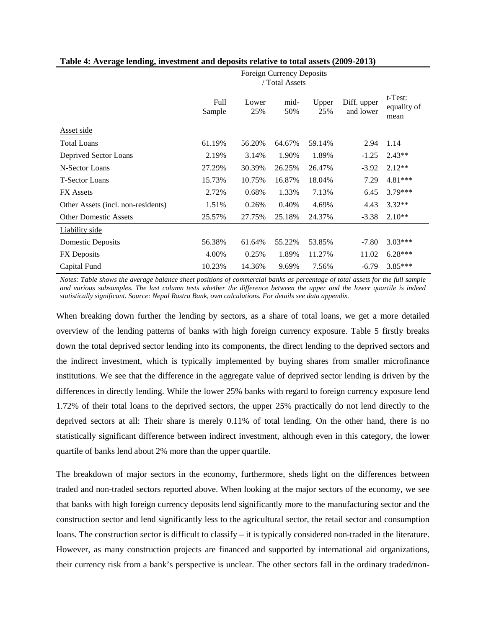|                                    |                | <b>Foreign Currency Deposits</b><br>/ Total Assets |             |              |                          |                                   |
|------------------------------------|----------------|----------------------------------------------------|-------------|--------------|--------------------------|-----------------------------------|
|                                    | Full<br>Sample | Lower<br>25%                                       | mid-<br>50% | Upper<br>25% | Diff. upper<br>and lower | $t$ -Test:<br>equality of<br>mean |
| Asset side                         |                |                                                    |             |              |                          |                                   |
| <b>Total Loans</b>                 | 61.19%         | 56.20%                                             | 64.67%      | 59.14%       | 2.94                     | 1.14                              |
| Deprived Sector Loans              | 2.19%          | 3.14%                                              | 1.90%       | 1.89%        | $-1.25$                  | $2.43**$                          |
| N-Sector Loans                     | 27.29%         | 30.39%                                             | 26.25%      | 26.47%       | $-3.92$                  | $2.12**$                          |
| <b>T-Sector Loans</b>              | 15.73%         | 10.75%                                             | 16.87%      | 18.04%       | 7.29                     | 4.81***                           |
| <b>FX</b> Assets                   | 2.72%          | 0.68%                                              | 1.33%       | 7.13%        | 6.45                     | $3.79***$                         |
| Other Assets (incl. non-residents) | 1.51%          | 0.26%                                              | 0.40%       | 4.69%        | 4.43                     | $3.32**$                          |
| <b>Other Domestic Assets</b>       | 25.57%         | 27.75%                                             | 25.18%      | 24.37%       | $-3.38$                  | $2.10**$                          |
| <b>Liability</b> side              |                |                                                    |             |              |                          |                                   |
| Domestic Deposits                  | 56.38%         | 61.64%                                             | 55.22%      | 53.85%       | $-7.80$                  | $3.03***$                         |
| FX Deposits                        | 4.00%          | 0.25%                                              | 1.89%       | 11.27%       | 11.02                    | $6.28***$                         |
| Capital Fund                       | 10.23%         | 14.36%                                             | 9.69%       | 7.56%        | $-6.79$                  | $3.85***$                         |

#### **Table 4: Average lending, investment and deposits relative to total assets (2009-2013)**

*Notes: Table shows the average balance sheet positions of commercial banks as percentage of total assets for the full sample and various subsamples. The last column tests whether the difference between the upper and the lower quartile is indeed statistically significant. Source: Nepal Rastra Bank, own calculations. For details see data appendix.*

When breaking down further the lending by sectors, as a share of total loans, we get a more detailed overview of the lending patterns of banks with high foreign currency exposure. Table 5 firstly breaks down the total deprived sector lending into its components, the direct lending to the deprived sectors and the indirect investment, which is typically implemented by buying shares from smaller microfinance institutions. We see that the difference in the aggregate value of deprived sector lending is driven by the differences in directly lending. While the lower 25% banks with regard to foreign currency exposure lend 1.72% of their total loans to the deprived sectors, the upper 25% practically do not lend directly to the deprived sectors at all: Their share is merely 0.11% of total lending. On the other hand, there is no statistically significant difference between indirect investment, although even in this category, the lower quartile of banks lend about 2% more than the upper quartile.

The breakdown of major sectors in the economy, furthermore, sheds light on the differences between traded and non-traded sectors reported above. When looking at the major sectors of the economy, we see that banks with high foreign currency deposits lend significantly more to the manufacturing sector and the construction sector and lend significantly less to the agricultural sector, the retail sector and consumption loans. The construction sector is difficult to classify – it is typically considered non-traded in the literature. However, as many construction projects are financed and supported by international aid organizations, their currency risk from a bank's perspective is unclear. The other sectors fall in the ordinary traded/non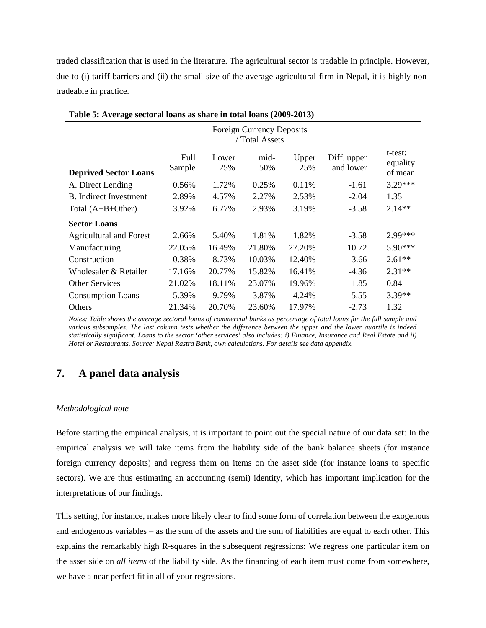traded classification that is used in the literature. The agricultural sector is tradable in principle. However, due to (i) tariff barriers and (ii) the small size of the average agricultural firm in Nepal, it is highly nontradeable in practice.

|                                |                |              | <b>Foreign Currency Deposits</b><br>/ Total Assets |              |                          |                                |
|--------------------------------|----------------|--------------|----------------------------------------------------|--------------|--------------------------|--------------------------------|
| <b>Deprived Sector Loans</b>   | Full<br>Sample | Lower<br>25% | mid-<br>50%                                        | Upper<br>25% | Diff. upper<br>and lower | t-test:<br>equality<br>of mean |
| A. Direct Lending              | 0.56%          | 1.72%        | 0.25%                                              | 0.11%        | $-1.61$                  | 3.29 ***                       |
| <b>B.</b> Indirect Investment  | 2.89%          | 4.57%        | 2.27%                                              | 2.53%        | $-2.04$                  | 1.35                           |
| Total $(A+B+Other)$            | 3.92%          | 6.77%        | 2.93%                                              | 3.19%        | $-3.58$                  | $2.14**$                       |
| <b>Sector Loans</b>            |                |              |                                                    |              |                          |                                |
| <b>Agricultural and Forest</b> | 2.66%          | 5.40%        | 1.81%                                              | 1.82%        | $-3.58$                  | $2.99***$                      |
| Manufacturing                  | 22.05%         | 16.49%       | 21.80%                                             | 27.20%       | 10.72                    | $5.90***$                      |
| Construction                   | 10.38%         | 8.73%        | 10.03%                                             | 12.40%       | 3.66                     | $2.61**$                       |
| Wholesaler & Retailer          | 17.16%         | 20.77%       | 15.82%                                             | 16.41%       | $-4.36$                  | $2.31**$                       |
| <b>Other Services</b>          | 21.02%         | 18.11%       | 23.07%                                             | 19.96%       | 1.85                     | 0.84                           |
| <b>Consumption Loans</b>       | 5.39%          | 9.79%        | 3.87%                                              | 4.24%        | $-5.55$                  | $3.39**$                       |
| <b>Others</b>                  | 21.34%         | 20.70%       | 23.60%                                             | 17.97%       | $-2.73$                  | 1.32                           |

**Table 5: Average sectoral loans as share in total loans (2009-2013)**

*Notes: Table shows the average sectoral loans of commercial banks as percentage of total loans for the full sample and various subsamples. The last column tests whether the difference between the upper and the lower quartile is indeed statistically significant. Loans to the sector 'other services' also includes: i) Finance, Insurance and Real Estate and ii) Hotel or Restaurants. Source: Nepal Rastra Bank, own calculations. For details see data appendix.*

## **7. A panel data analysis**

#### *Methodological note*

Before starting the empirical analysis, it is important to point out the special nature of our data set: In the empirical analysis we will take items from the liability side of the bank balance sheets (for instance foreign currency deposits) and regress them on items on the asset side (for instance loans to specific sectors). We are thus estimating an accounting (semi) identity, which has important implication for the interpretations of our findings.

This setting, for instance, makes more likely clear to find some form of correlation between the exogenous and endogenous variables – as the sum of the assets and the sum of liabilities are equal to each other. This explains the remarkably high R-squares in the subsequent regressions: We regress one particular item on the asset side on *all items* of the liability side. As the financing of each item must come from somewhere, we have a near perfect fit in all of your regressions.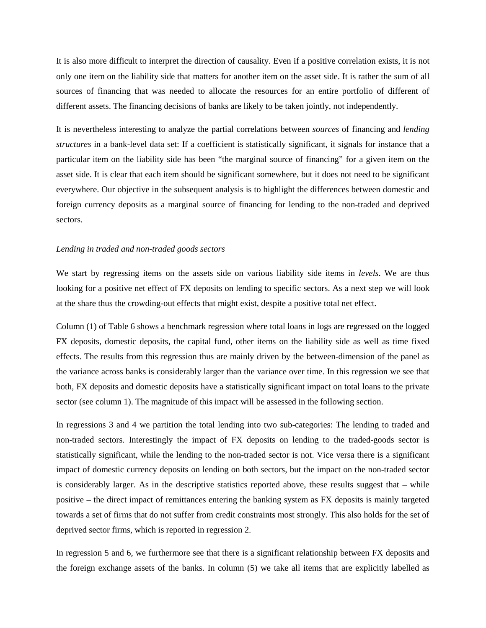It is also more difficult to interpret the direction of causality. Even if a positive correlation exists, it is not only one item on the liability side that matters for another item on the asset side. It is rather the sum of all sources of financing that was needed to allocate the resources for an entire portfolio of different of different assets. The financing decisions of banks are likely to be taken jointly, not independently.

It is nevertheless interesting to analyze the partial correlations between *sources* of financing and *lending structures* in a bank-level data set: If a coefficient is statistically significant, it signals for instance that a particular item on the liability side has been "the marginal source of financing" for a given item on the asset side. It is clear that each item should be significant somewhere, but it does not need to be significant everywhere. Our objective in the subsequent analysis is to highlight the differences between domestic and foreign currency deposits as a marginal source of financing for lending to the non-traded and deprived sectors.

#### *Lending in traded and non-traded goods sectors*

We start by regressing items on the assets side on various liability side items in *levels*. We are thus looking for a positive net effect of FX deposits on lending to specific sectors. As a next step we will look at the share thus the crowding-out effects that might exist, despite a positive total net effect.

Column (1) of Table 6 shows a benchmark regression where total loans in logs are regressed on the logged FX deposits, domestic deposits, the capital fund, other items on the liability side as well as time fixed effects. The results from this regression thus are mainly driven by the between-dimension of the panel as the variance across banks is considerably larger than the variance over time. In this regression we see that both, FX deposits and domestic deposits have a statistically significant impact on total loans to the private sector (see column 1). The magnitude of this impact will be assessed in the following section.

In regressions 3 and 4 we partition the total lending into two sub-categories: The lending to traded and non-traded sectors. Interestingly the impact of FX deposits on lending to the traded-goods sector is statistically significant, while the lending to the non-traded sector is not. Vice versa there is a significant impact of domestic currency deposits on lending on both sectors, but the impact on the non-traded sector is considerably larger. As in the descriptive statistics reported above, these results suggest that – while positive – the direct impact of remittances entering the banking system as FX deposits is mainly targeted towards a set of firms that do not suffer from credit constraints most strongly. This also holds for the set of deprived sector firms, which is reported in regression 2.

In regression 5 and 6, we furthermore see that there is a significant relationship between FX deposits and the foreign exchange assets of the banks. In column (5) we take all items that are explicitly labelled as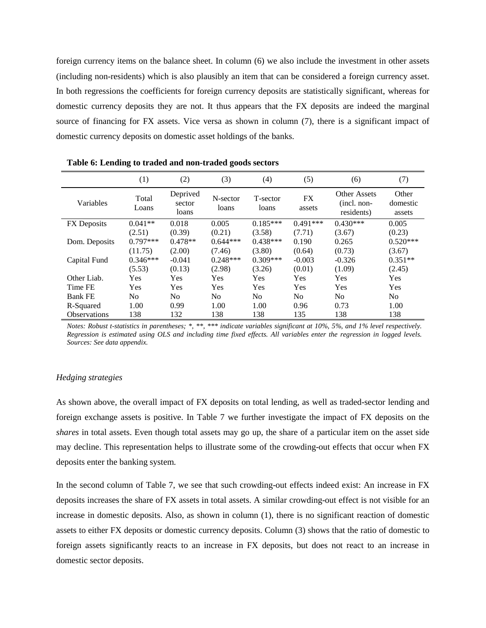foreign currency items on the balance sheet. In column (6) we also include the investment in other assets (including non-residents) which is also plausibly an item that can be considered a foreign currency asset. In both regressions the coefficients for foreign currency deposits are statistically significant, whereas for domestic currency deposits they are not. It thus appears that the FX deposits are indeed the marginal source of financing for FX assets. Vice versa as shown in column (7), there is a significant impact of domestic currency deposits on domestic asset holdings of the banks.

|                     | (1)            | (2)                         | (3)               | (4)               | (5)            | (6)                                                | (7)                         |
|---------------------|----------------|-----------------------------|-------------------|-------------------|----------------|----------------------------------------------------|-----------------------------|
| Variables           | Total<br>Loans | Deprived<br>sector<br>loans | N-sector<br>loans | T-sector<br>loans | FX<br>assets   | <b>Other Assets</b><br>$(incl. non-$<br>residents) | Other<br>domestic<br>assets |
| FX Deposits         | $0.041**$      | 0.018                       | 0.005             | $0.185***$        | $0.491***$     | $0.430***$                                         | 0.005                       |
|                     | (2.51)         | (0.39)                      | (0.21)            | (3.58)            | (7.71)         | (3.67)                                             | (0.23)                      |
| Dom. Deposits       | $0.797***$     | $0.478**$                   | $0.644***$        | $0.438***$        | 0.190          | 0.265                                              | $0.520***$                  |
|                     | (11.75)        | (2.00)                      | (7.46)            | (3.80)            | (0.64)         | (0.73)                                             | (3.67)                      |
| Capital Fund        | $0.346***$     | $-0.041$                    | $0.248***$        | $0.309***$        | $-0.003$       | $-0.326$                                           | $0.351**$                   |
|                     | (5.53)         | (0.13)                      | (2.98)            | (3.26)            | (0.01)         | (1.09)                                             | (2.45)                      |
| Other Liab.         | Yes            | <b>Yes</b>                  | <b>Yes</b>        | Yes               | Yes            | Yes                                                | Yes                         |
| Time FE             | <b>Yes</b>     | Yes                         | Yes               | Yes               | Yes            | Yes                                                | <b>Yes</b>                  |
| <b>Bank FE</b>      | No.            | N <sub>0</sub>              | N <sub>0</sub>    | N <sub>o</sub>    | N <sub>o</sub> | N <sub>0</sub>                                     | N <sub>o</sub>              |
| R-Squared           | 1.00           | 0.99                        | 1.00              | 1.00              | 0.96           | 0.73                                               | 1.00                        |
| <b>Observations</b> | 138            | 132                         | 138               | 138               | 135            | 138                                                | 138                         |

**Table 6: Lending to traded and non-traded goods sectors**

*Notes: Robust t-statistics in parentheses; \*, \*\*, \*\*\* indicate variables significant at 10%, 5%, and 1% level respectively. Regression is estimated using OLS and including time fixed effects. All variables enter the regression in logged levels. Sources: See data appendix.*

#### *Hedging strategies*

As shown above, the overall impact of FX deposits on total lending, as well as traded-sector lending and foreign exchange assets is positive. In Table 7 we further investigate the impact of FX deposits on the *shares* in total assets. Even though total assets may go up, the share of a particular item on the asset side may decline. This representation helps to illustrate some of the crowding-out effects that occur when FX deposits enter the banking system.

In the second column of Table 7, we see that such crowding-out effects indeed exist: An increase in FX deposits increases the share of FX assets in total assets. A similar crowding-out effect is not visible for an increase in domestic deposits. Also, as shown in column (1), there is no significant reaction of domestic assets to either FX deposits or domestic currency deposits. Column (3) shows that the ratio of domestic to foreign assets significantly reacts to an increase in FX deposits, but does not react to an increase in domestic sector deposits.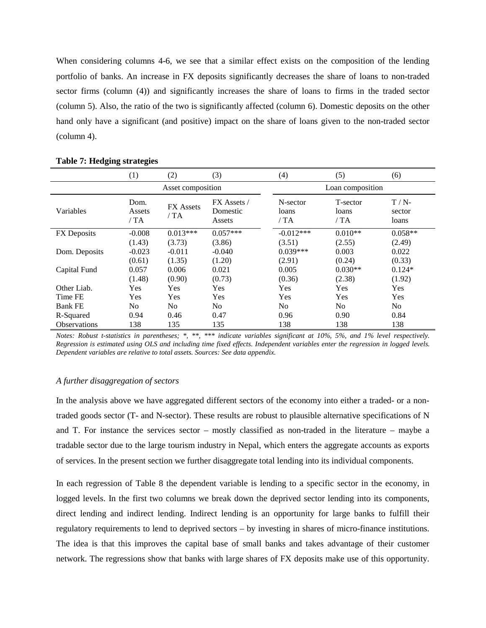When considering columns 4-6, we see that a similar effect exists on the composition of the lending portfolio of banks. An increase in FX deposits significantly decreases the share of loans to non-traded sector firms (column (4)) and significantly increases the share of loans to firms in the traded sector (column 5). Also, the ratio of the two is significantly affected (column 6). Domestic deposits on the other hand only have a significant (and positive) impact on the share of loans given to the non-traded sector (column 4).

|                    | (1)                   | (2)                     | (3)                               | (4)                       | (5)                      | (6)                        |
|--------------------|-----------------------|-------------------------|-----------------------------------|---------------------------|--------------------------|----------------------------|
|                    |                       | Asset composition       |                                   |                           | Loan composition         |                            |
| Variables          | Dom.<br>Assets<br>/TA | <b>FX</b> Assets<br>/TA | FX Assets /<br>Domestic<br>Assets | N-sector<br>loans<br>/ TA | T-sector<br>loans<br>/TA | $T/N$ -<br>sector<br>loans |
| <b>FX</b> Deposits | $-0.008$              | $0.013***$              | $0.057***$                        | $-0.012***$               | $0.010**$                | $0.058**$                  |
|                    | (1.43)                | (3.73)                  | (3.86)                            | (3.51)                    | (2.55)                   | (2.49)                     |
| Dom. Deposits      | $-0.023$              | $-0.011$                | $-0.040$                          | $0.039***$                | 0.003                    | 0.022                      |
|                    | (0.61)                | (1.35)                  | (1.20)                            | (2.91)                    | (0.24)                   | (0.33)                     |
| Capital Fund       | 0.057                 | 0.006                   | 0.021                             | 0.005                     | $0.030**$                | $0.124*$                   |
|                    | (1.48)                | (0.90)                  | (0.73)                            | (0.36)                    | (2.38)                   | (1.92)                     |
| Other Liab.        | Yes                   | <b>Yes</b>              | <b>Yes</b>                        | Yes                       | Yes                      | Yes                        |
| Time FE            | Yes                   | <b>Yes</b>              | <b>Yes</b>                        | Yes                       | Yes                      | Yes                        |
| <b>Bank FE</b>     | No                    | No.                     | N <sub>0</sub>                    | N <sub>0</sub>            | N <sub>o</sub>           | N <sub>0</sub>             |
| R-Squared          | 0.94                  | 0.46                    | 0.47                              | 0.96                      | 0.90                     | 0.84                       |
| Observations       | 138                   | 135                     | 135                               | 138                       | 138                      | 138                        |

#### **Table 7: Hedging strategies**

*Notes: Robust t-statistics in parentheses; \*, \*\*, \*\*\* indicate variables significant at 10%, 5%, and 1% level respectively. Regression is estimated using OLS and including time fixed effects. Independent variables enter the regression in logged levels. Dependent variables are relative to total assets. Sources: See data appendix.*

#### *A further disaggregation of sectors*

In the analysis above we have aggregated different sectors of the economy into either a traded- or a nontraded goods sector (T- and N-sector). These results are robust to plausible alternative specifications of N and T. For instance the services sector – mostly classified as non-traded in the literature – maybe a tradable sector due to the large tourism industry in Nepal, which enters the aggregate accounts as exports of services. In the present section we further disaggregate total lending into its individual components.

In each regression of Table 8 the dependent variable is lending to a specific sector in the economy, in logged levels. In the first two columns we break down the deprived sector lending into its components, direct lending and indirect lending. Indirect lending is an opportunity for large banks to fulfill their regulatory requirements to lend to deprived sectors – by investing in shares of micro-finance institutions. The idea is that this improves the capital base of small banks and takes advantage of their customer network. The regressions show that banks with large shares of FX deposits make use of this opportunity.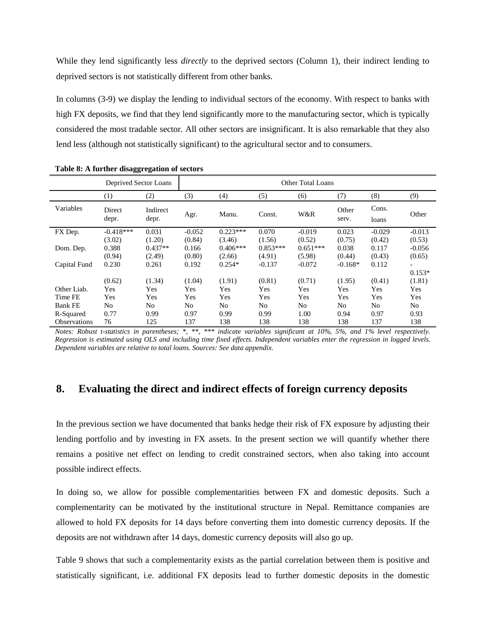While they lend significantly less *directly* to the deprived sectors (Column 1), their indirect lending to deprived sectors is not statistically different from other banks.

In columns (3-9) we display the lending to individual sectors of the economy. With respect to banks with high FX deposits, we find that they lend significantly more to the manufacturing sector, which is typically considered the most tradable sector. All other sectors are insignificant. It is also remarkable that they also lend less (although not statistically significant) to the agricultural sector and to consumers.

|                     | Deprived Sector Loans |                   |                | Other Total Loans |            |            |                |                |                |
|---------------------|-----------------------|-------------------|----------------|-------------------|------------|------------|----------------|----------------|----------------|
|                     | (1)                   | (2)               | (3)            | (4)               | (5)        | (6)        | (7)            | (8)            | (9)            |
| Variables           | Direct<br>depr.       | Indirect<br>depr. | Agr.           | Manu.             | Const.     | W&R        | Other<br>serv. | Cons.<br>loans | Other          |
| FX Dep.             | $-0.418***$           | 0.031             | $-0.052$       | $0.223***$        | 0.070      | $-0.019$   | 0.023          | $-0.029$       | $-0.013$       |
|                     | (3.02)                | (1.20)            | (0.84)         | (3.46)            | (1.56)     | (0.52)     | (0.75)         | (0.42)         | (0.53)         |
| Dom. Dep.           | 0.388                 | $0.437**$         | 0.166          | $0.406***$        | $0.853***$ | $0.651***$ | 0.038          | 0.117          | $-0.056$       |
|                     | (0.94)                | (2.49)            | (0.80)         | (2.66)            | (4.91)     | (5.98)     | (0.44)         | (0.43)         | (0.65)         |
| Capital Fund        | 0.230                 | 0.261             | 0.192          | $0.254*$          | $-0.137$   | $-0.072$   | $-0.168*$      | 0.112          |                |
|                     |                       |                   |                |                   |            |            |                |                | $0.153*$       |
|                     | (0.62)                | (1.34)            | (1.04)         | (1.91)            | (0.81)     | (0.71)     | (1.95)         | (0.41)         | (1.81)         |
| Other Liab.         | Yes                   | Yes               | Yes            | Yes               | Yes        | Yes        | Yes            | Yes            | Yes            |
| Time FE             | Yes                   | Yes               | Yes            | Yes               | Yes        | Yes        | Yes            | Yes            | Yes            |
| <b>Bank FE</b>      | No                    | N <sub>0</sub>    | N <sub>o</sub> | No                | No         | No         | No             | No.            | N <sub>o</sub> |
| R-Squared           | 0.77                  | 0.99              | 0.97           | 0.99              | 0.99       | 1.00       | 0.94           | 0.97           | 0.93           |
| <b>Observations</b> | 76                    | 125               | 137            | 138               | 138        | 138        | 138            | 137            | 138            |

**Table 8: A further disaggregation of sectors**

*Notes: Robust t-statistics in parentheses; \*, \*\*, \*\*\* indicate variables significant at 10%, 5%, and 1% level respectively. Regression is estimated using OLS and including time fixed effects. Independent variables enter the regression in logged levels. Dependent variables are relative to total loans. Sources: See data appendix.*

## **8. Evaluating the direct and indirect effects of foreign currency deposits**

In the previous section we have documented that banks hedge their risk of FX exposure by adjusting their lending portfolio and by investing in FX assets. In the present section we will quantify whether there remains a positive net effect on lending to credit constrained sectors, when also taking into account possible indirect effects.

In doing so, we allow for possible complementarities between FX and domestic deposits. Such a complementarity can be motivated by the institutional structure in Nepal. Remittance companies are allowed to hold FX deposits for 14 days before converting them into domestic currency deposits. If the deposits are not withdrawn after 14 days, domestic currency deposits will also go up.

Table 9 shows that such a complementarity exists as the partial correlation between them is positive and statistically significant, i.e. additional FX deposits lead to further domestic deposits in the domestic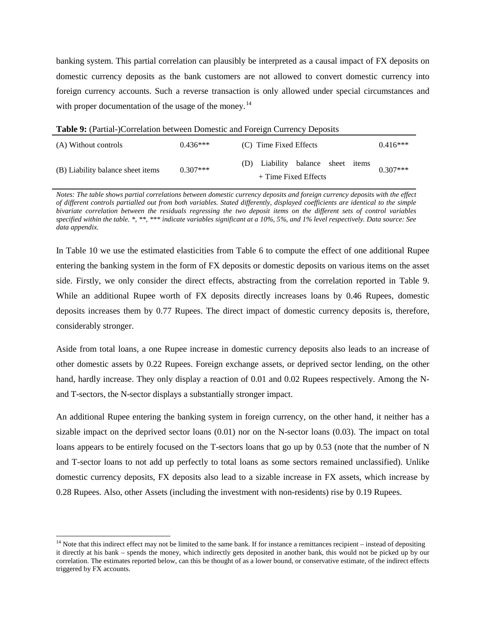banking system. This partial correlation can plausibly be interpreted as a causal impact of FX deposits on domestic currency deposits as the bank customers are not allowed to convert domestic currency into foreign currency accounts. Such a reverse transaction is only allowed under special circumstances and with proper documentation of the usage of the money.<sup>[14](#page-18-0)</sup>

**Table 9:** (Partial-)Correlation between Domestic and Foreign Currency Deposits (A) Without controls  $0.436***$  (C) Time Fixed Effects  $0.416***$ (B) Liability balance sheet items  $0.307***$ (D) Liability balance sheet items + Time Fixed Effects 0.307\*\*\*

*Notes: The table shows partial correlations between domestic currency deposits and foreign currency deposits with the effect of different controls partialled out from both variables. Stated differently, displayed coefficients are identical to the simple bivariate correlation between the residuals regressing the two deposit items on the different sets of control variables specified within the table. \*, \*\*, \*\*\* indicate variables significant at a 10%, 5%, and 1% level respectively. Data source: See data appendix.*

In Table 10 we use the estimated elasticities from Table 6 to compute the effect of one additional Rupee entering the banking system in the form of FX deposits or domestic deposits on various items on the asset side. Firstly, we only consider the direct effects, abstracting from the correlation reported in Table 9. While an additional Rupee worth of FX deposits directly increases loans by 0.46 Rupees, domestic deposits increases them by 0.77 Rupees. The direct impact of domestic currency deposits is, therefore, considerably stronger.

Aside from total loans, a one Rupee increase in domestic currency deposits also leads to an increase of other domestic assets by 0.22 Rupees. Foreign exchange assets, or deprived sector lending, on the other hand, hardly increase. They only display a reaction of 0.01 and 0.02 Rupees respectively. Among the Nand T-sectors, the N-sector displays a substantially stronger impact.

An additional Rupee entering the banking system in foreign currency, on the other hand, it neither has a sizable impact on the deprived sector loans (0.01) nor on the N-sector loans (0.03). The impact on total loans appears to be entirely focused on the T-sectors loans that go up by 0.53 (note that the number of N and T-sector loans to not add up perfectly to total loans as some sectors remained unclassified). Unlike domestic currency deposits, FX deposits also lead to a sizable increase in FX assets, which increase by 0.28 Rupees. Also, other Assets (including the investment with non-residents) rise by 0.19 Rupees.

 $\overline{a}$ 

<span id="page-18-0"></span> $<sup>14</sup>$  Note that this indirect effect may not be limited to the same bank. If for instance a remittances recipient – instead of depositing</sup> it directly at his bank – spends the money, which indirectly gets deposited in another bank, this would not be picked up by our correlation. The estimates reported below, can this be thought of as a lower bound, or conservative estimate, of the indirect effects triggered by FX accounts.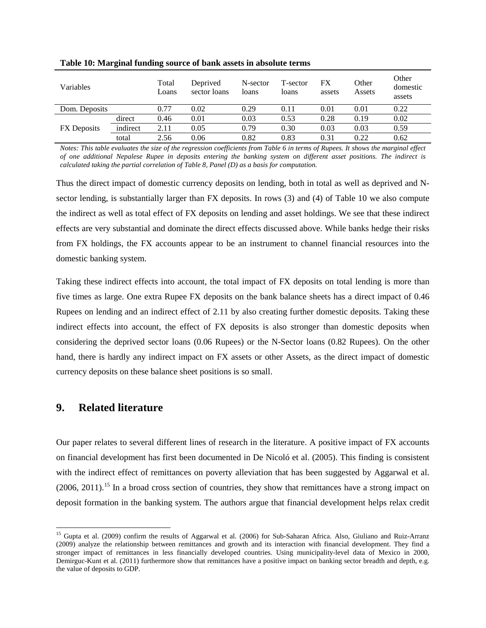| Variables          |          | Total<br>Loans | Deprived<br>sector loans | N-sector<br>loans | T-sector<br>loans | FX<br>assets | Other<br>Assets | Other<br>domestic<br>assets |
|--------------------|----------|----------------|--------------------------|-------------------|-------------------|--------------|-----------------|-----------------------------|
| Dom. Deposits      |          | 0.77           | 0.02                     | 0.29              | 0.11              | 0.01         | 0.01            | 0.22                        |
|                    | direct   | 0.46           | 0.01                     | 0.03              | 0.53              | 0.28         | 0.19            | 0.02                        |
| <b>FX</b> Deposits | indirect | 2.11           | 0.05                     | 0.79              | 0.30              | 0.03         | 0.03            | 0.59                        |
|                    | total    | 2.56           | 0.06                     | 0.82              | 0.83              | 0.31         | 0.22            | 0.62                        |

**Table 10: Marginal funding source of bank assets in absolute terms** 

*Notes: This table evaluates the size of the regression coefficients from Table 6 in terms of Rupees. It shows the marginal effect of one additional Nepalese Rupee in deposits entering the banking system on different asset positions. The indirect is calculated taking the partial correlation of Table 8, Panel (D) as a basis for computation.*

Thus the direct impact of domestic currency deposits on lending, both in total as well as deprived and Nsector lending, is substantially larger than FX deposits. In rows (3) and (4) of Table 10 we also compute the indirect as well as total effect of FX deposits on lending and asset holdings. We see that these indirect effects are very substantial and dominate the direct effects discussed above. While banks hedge their risks from FX holdings, the FX accounts appear to be an instrument to channel financial resources into the domestic banking system.

Taking these indirect effects into account, the total impact of FX deposits on total lending is more than five times as large. One extra Rupee FX deposits on the bank balance sheets has a direct impact of 0.46 Rupees on lending and an indirect effect of 2.11 by also creating further domestic deposits. Taking these indirect effects into account, the effect of FX deposits is also stronger than domestic deposits when considering the deprived sector loans (0.06 Rupees) or the N-Sector loans (0.82 Rupees). On the other hand, there is hardly any indirect impact on FX assets or other Assets, as the direct impact of domestic currency deposits on these balance sheet positions is so small.

## **9. Related literature**

Our paper relates to several different lines of research in the literature. A positive impact of FX accounts on financial development has first been documented in De Nicoló et al. (2005). This finding is consistent with the indirect effect of remittances on poverty alleviation that has been suggested by Aggarwal et al.  $(2006, 2011)$ .<sup>[15](#page-19-0)</sup> In a broad cross section of countries, they show that remittances have a strong impact on deposit formation in the banking system. The authors argue that financial development helps relax credit

<span id="page-19-0"></span><sup>&</sup>lt;sup>15</sup> Gupta et al. (2009) confirm the results of Aggarwal et al. (2006) for Sub-Saharan Africa. Also, Giuliano and Ruiz-Arranz (2009) analyze the relationship between remittances and growth and its interaction with financial development. They find a stronger impact of remittances in less financially developed countries. Using municipality-level data of Mexico in 2000, Demirguc-Kunt et al. (2011) furthermore show that remittances have a positive impact on banking sector breadth and depth, e.g. the value of deposits to GDP.  $\overline{a}$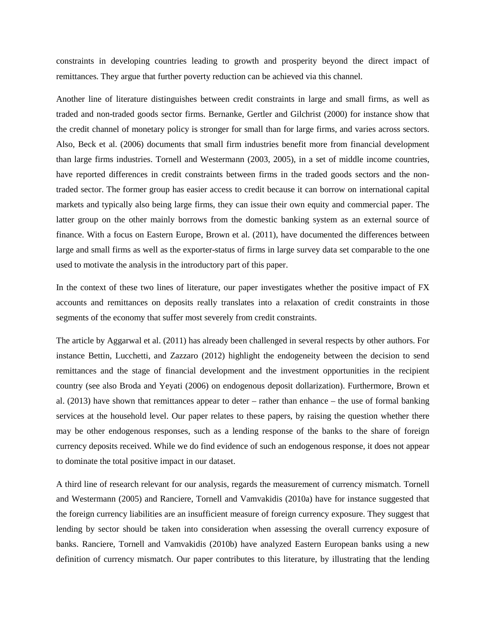constraints in developing countries leading to growth and prosperity beyond the direct impact of remittances. They argue that further poverty reduction can be achieved via this channel.

Another line of literature distinguishes between credit constraints in large and small firms, as well as traded and non-traded goods sector firms. Bernanke, Gertler and Gilchrist (2000) for instance show that the credit channel of monetary policy is stronger for small than for large firms, and varies across sectors. Also, Beck et al. (2006) documents that small firm industries benefit more from financial development than large firms industries. Tornell and Westermann (2003, 2005), in a set of middle income countries, have reported differences in credit constraints between firms in the traded goods sectors and the nontraded sector. The former group has easier access to credit because it can borrow on international capital markets and typically also being large firms, they can issue their own equity and commercial paper. The latter group on the other mainly borrows from the domestic banking system as an external source of finance. With a focus on Eastern Europe, Brown et al. (2011), have documented the differences between large and small firms as well as the exporter-status of firms in large survey data set comparable to the one used to motivate the analysis in the introductory part of this paper.

In the context of these two lines of literature, our paper investigates whether the positive impact of FX accounts and remittances on deposits really translates into a relaxation of credit constraints in those segments of the economy that suffer most severely from credit constraints.

The article by Aggarwal et al. (2011) has already been challenged in several respects by other authors. For instance Bettin, Lucchetti, and Zazzaro (2012) highlight the endogeneity between the decision to send remittances and the stage of financial development and the investment opportunities in the recipient country (see also Broda and Yeyati (2006) on endogenous deposit dollarization). Furthermore, Brown et al. (2013) have shown that remittances appear to deter – rather than enhance – the use of formal banking services at the household level. Our paper relates to these papers, by raising the question whether there may be other endogenous responses, such as a lending response of the banks to the share of foreign currency deposits received. While we do find evidence of such an endogenous response, it does not appear to dominate the total positive impact in our dataset.

A third line of research relevant for our analysis, regards the measurement of currency mismatch. Tornell and Westermann (2005) and Ranciere, Tornell and Vamvakidis (2010a) have for instance suggested that the foreign currency liabilities are an insufficient measure of foreign currency exposure. They suggest that lending by sector should be taken into consideration when assessing the overall currency exposure of banks. Ranciere, Tornell and Vamvakidis (2010b) have analyzed Eastern European banks using a new definition of currency mismatch. Our paper contributes to this literature, by illustrating that the lending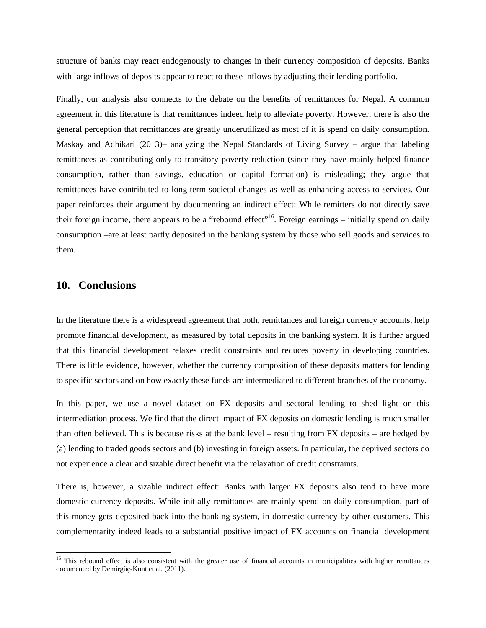structure of banks may react endogenously to changes in their currency composition of deposits. Banks with large inflows of deposits appear to react to these inflows by adjusting their lending portfolio.

Finally, our analysis also connects to the debate on the benefits of remittances for Nepal. A common agreement in this literature is that remittances indeed help to alleviate poverty. However, there is also the general perception that remittances are greatly underutilized as most of it is spend on daily consumption. Maskay and Adhikari (2013)– analyzing the Nepal Standards of Living Survey – argue that labeling remittances as contributing only to transitory poverty reduction (since they have mainly helped finance consumption, rather than savings, education or capital formation) is misleading; they argue that remittances have contributed to long-term societal changes as well as enhancing access to services. Our paper reinforces their argument by documenting an indirect effect: While remitters do not directly save their foreign income, there appears to be a "rebound effect"<sup>[16](#page-21-0)</sup>. Foreign earnings – initially spend on daily consumption –are at least partly deposited in the banking system by those who sell goods and services to them.

## **10. Conclusions**

 $\overline{a}$ 

In the literature there is a widespread agreement that both, remittances and foreign currency accounts, help promote financial development, as measured by total deposits in the banking system. It is further argued that this financial development relaxes credit constraints and reduces poverty in developing countries. There is little evidence, however, whether the currency composition of these deposits matters for lending to specific sectors and on how exactly these funds are intermediated to different branches of the economy.

In this paper, we use a novel dataset on FX deposits and sectoral lending to shed light on this intermediation process. We find that the direct impact of FX deposits on domestic lending is much smaller than often believed. This is because risks at the bank level – resulting from FX deposits – are hedged by (a) lending to traded goods sectors and (b) investing in foreign assets. In particular, the deprived sectors do not experience a clear and sizable direct benefit via the relaxation of credit constraints.

There is, however, a sizable indirect effect: Banks with larger FX deposits also tend to have more domestic currency deposits. While initially remittances are mainly spend on daily consumption, part of this money gets deposited back into the banking system, in domestic currency by other customers. This complementarity indeed leads to a substantial positive impact of FX accounts on financial development

<span id="page-21-0"></span><sup>&</sup>lt;sup>16</sup> This rebound effect is also consistent with the greater use of financial accounts in municipalities with higher remittances documented by Demirgüç-Kunt et al. (2011).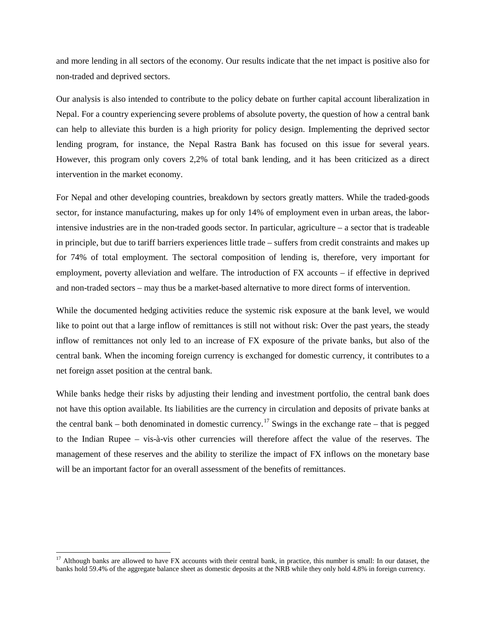and more lending in all sectors of the economy. Our results indicate that the net impact is positive also for non-traded and deprived sectors.

Our analysis is also intended to contribute to the policy debate on further capital account liberalization in Nepal. For a country experiencing severe problems of absolute poverty, the question of how a central bank can help to alleviate this burden is a high priority for policy design. Implementing the deprived sector lending program, for instance, the Nepal Rastra Bank has focused on this issue for several years. However, this program only covers 2,2% of total bank lending, and it has been criticized as a direct intervention in the market economy.

For Nepal and other developing countries, breakdown by sectors greatly matters. While the traded-goods sector, for instance manufacturing, makes up for only 14% of employment even in urban areas, the laborintensive industries are in the non-traded goods sector. In particular, agriculture – a sector that is tradeable in principle, but due to tariff barriers experiences little trade – suffers from credit constraints and makes up for 74% of total employment. The sectoral composition of lending is, therefore, very important for employment, poverty alleviation and welfare. The introduction of FX accounts – if effective in deprived and non-traded sectors – may thus be a market-based alternative to more direct forms of intervention.

While the documented hedging activities reduce the systemic risk exposure at the bank level, we would like to point out that a large inflow of remittances is still not without risk: Over the past years, the steady inflow of remittances not only led to an increase of FX exposure of the private banks, but also of the central bank. When the incoming foreign currency is exchanged for domestic currency, it contributes to a net foreign asset position at the central bank.

While banks hedge their risks by adjusting their lending and investment portfolio, the central bank does not have this option available. Its liabilities are the currency in circulation and deposits of private banks at the central bank – both denominated in domestic currency.<sup>[17](#page-22-0)</sup> Swings in the exchange rate – that is pegged to the Indian Rupee – vis-à-vis other currencies will therefore affect the value of the reserves. The management of these reserves and the ability to sterilize the impact of FX inflows on the monetary base will be an important factor for an overall assessment of the benefits of remittances.

 $\overline{a}$ 

<span id="page-22-0"></span><sup>&</sup>lt;sup>17</sup> Although banks are allowed to have FX accounts with their central bank, in practice, this number is small: In our dataset, the banks hold 59.4% of the aggregate balance sheet as domestic deposits at the NRB while they only hold 4.8% in foreign currency.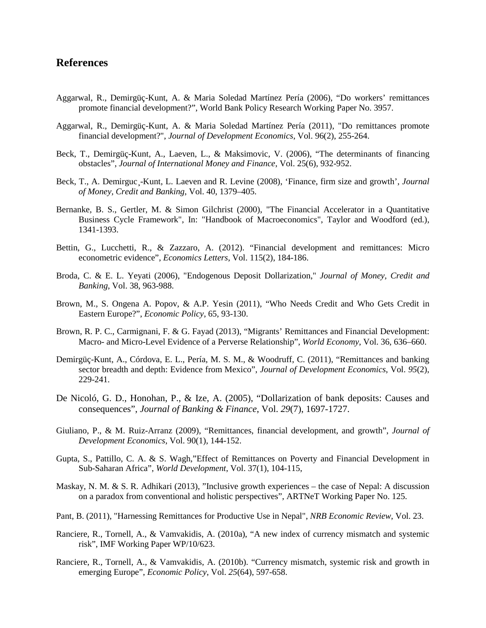## **References**

- Aggarwal, R., Demirgüç-Kunt, A. & Maria Soledad Martínez Pería (2006), "Do workers' remittances promote financial development?", World Bank Policy Research Working Paper No. 3957.
- Aggarwal, R., Demirgüç-Kunt, A. & Maria Soledad Martínez Pería (2011), "Do remittances promote financial development?", *Journal of Development Economics*, Vol. 96(2), 255-264.
- Beck, T., Demirgüç-Kunt, A., Laeven, L., & Maksimovic, V. (2006), "The determinants of financing obstacles", *Journal of International Money and Finance*, Vol. 25(6), 932-952.
- Beck, T., A. Demirguc<sub>, -</sub>Kunt, L. Laeven and R. Levine (2008), 'Finance, firm size and growth', *Journal of Money, Credit and Banking*, Vol. 40, 1379–405.
- Bernanke, B. S., Gertler, M. & Simon Gilchrist (2000), "The Financial Accelerator in a Quantitative Business Cycle Framework", In: "Handbook of Macroeconomics", Taylor and Woodford (ed.), 1341-1393.
- Bettin, G., Lucchetti, R., & Zazzaro, A. (2012). "Financial development and remittances: Micro econometric evidence", *Economics Letters*, Vol. 115(2), 184-186.
- Broda, C. & E. L. Yeyati (2006), "Endogenous Deposit Dollarization," *Journal of Money, Credit and Banking*, Vol. 38, 963-988.
- Brown, M., S. Ongena A. Popov, & A.P. Yesin (2011), ["Who Needs Credit and Who Gets Credit in](http://www.economic-policy.org/abstract.asp?vid=26&iid=65&date=January%202011&aid=4)  [Eastern Europe?"](http://www.economic-policy.org/abstract.asp?vid=26&iid=65&date=January%202011&aid=4), *Economic Policy*, 65, 93-130.
- Brown, R. P. C., Carmignani, F. & G. Fayad (2013), "Migrants' Remittances and Financial Development: Macro- and Micro-Level Evidence of a Perverse Relationship", *World Economy*, Vol. 36, 636–660.
- Demirgüç-Kunt, A., Córdova, E. L., Pería, M. S. M., & Woodruff, C. (2011), "Remittances and banking sector breadth and depth: Evidence from Mexico", *Journal of Development Economics*, Vol. *95*(2), 229-241.
- De Nicoló, G. D., Honohan, P., & Ize, A. (2005), "Dollarization of bank deposits: Causes and consequences", *Journal of Banking & Finance*, Vol. *29*(7), 1697-1727.
- Giuliano, P., & M. Ruiz-Arranz (2009), "Remittances, financial development, and growth", *Journal of Development Economics*, Vol. 90(1), 144-152.
- Gupta, S., Pattillo, C. A. & S. Wagh,"Effect of Remittances on Poverty and Financial Development in Sub-Saharan Africa", *World Development*, Vol. 37(1), 104-115,
- Maskay, N. M. & S. R. Adhikari (2013), "Inclusive growth experiences the case of Nepal: A discussion on a paradox from conventional and holistic perspectives", ARTNeT Working Paper No. 125.
- Pant, B. (2011), "Harnessing Remittances for Productive Use in Nepal", *NRB Economic Review*, Vol. 23.
- Ranciere, R., Tornell, A., & Vamvakidis, A. (2010a), "A new index of currency mismatch and systemic risk", IMF Working Paper WP/10/623.
- Ranciere, R., Tornell, A., & Vamvakidis, A. (2010b). "Currency mismatch, systemic risk and growth in emerging Europe", *Economic Policy*, Vol. *25*(64), 597-658.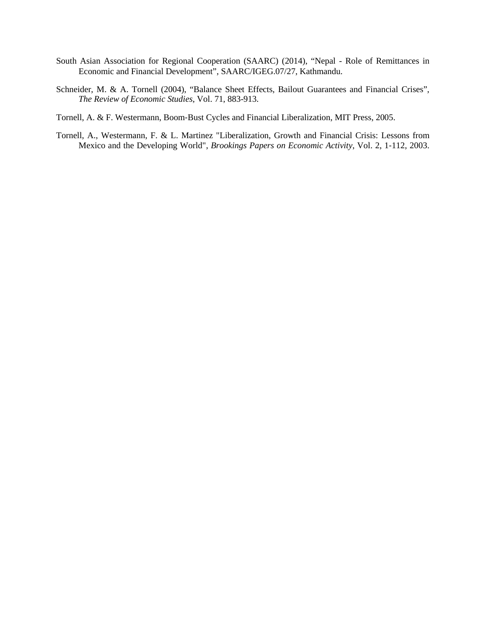- South Asian Association for Regional Cooperation (SAARC) (2014), "Nepal Role of Remittances in Economic and Financial Development", SAARC/IGEG.07/27, Kathmandu.
- Schneider, M. & A. Tornell (2004), "Balance Sheet Effects, Bailout Guarantees and Financial Crises", *The Review of Economic Studies*, Vol. 71, 883-913.
- Tornell, A. & F. Westermann, Boom‐Bust Cycles and Financial Liberalization, MIT Press, 2005.
- Tornell, A., Westermann, F. & L. Martinez "Liberalization, Growth and Financial Crisis: Lessons from Mexico and the Developing World", *Brookings Papers on Economic Activity*, Vol. 2, 1‐112, 2003.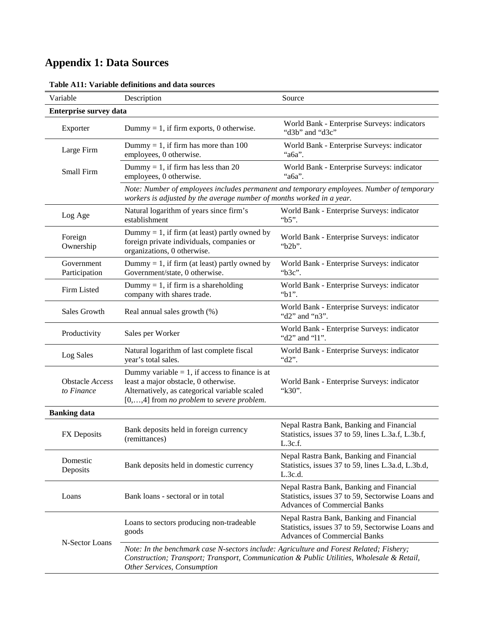## **Appendix 1: Data Sources**

| Variable                      | Description                                                                                                                                                                                                         | Source                                                                                                                               |
|-------------------------------|---------------------------------------------------------------------------------------------------------------------------------------------------------------------------------------------------------------------|--------------------------------------------------------------------------------------------------------------------------------------|
| <b>Enterprise survey data</b> |                                                                                                                                                                                                                     |                                                                                                                                      |
| Exporter                      | Dummy = 1, if firm exports, 0 otherwise.                                                                                                                                                                            | World Bank - Enterprise Surveys: indicators<br>"d3b" and "d3c"                                                                       |
| Large Firm                    | Dummy = 1, if firm has more than $100$<br>employees, 0 otherwise.                                                                                                                                                   | World Bank - Enterprise Surveys: indicator<br>"a6a".                                                                                 |
| Small Firm                    | Dummy = 1, if firm has less than 20<br>employees, 0 otherwise.                                                                                                                                                      | World Bank - Enterprise Surveys: indicator<br>" $a6a$ ".                                                                             |
|                               | workers is adjusted by the average number of months worked in a year.                                                                                                                                               | Note: Number of employees includes permanent and temporary employees. Number of temporary                                            |
| Log Age                       | Natural logarithm of years since firm's<br>establishment                                                                                                                                                            | World Bank - Enterprise Surveys: indicator<br>"b5".                                                                                  |
| Foreign<br>Ownership          | Dummy = 1, if firm (at least) partly owned by<br>foreign private individuals, companies or<br>organizations, 0 otherwise.                                                                                           | World Bank - Enterprise Surveys: indicator<br>"b2b".                                                                                 |
| Government<br>Participation   | Dummy = 1, if firm (at least) partly owned by<br>Government/state, 0 otherwise.                                                                                                                                     | World Bank - Enterprise Surveys: indicator<br>"b3c".                                                                                 |
| Firm Listed                   | Dummy = 1, if firm is a shareholding<br>company with shares trade.                                                                                                                                                  | World Bank - Enterprise Surveys: indicator<br>" $b1$ ".                                                                              |
| Sales Growth                  | Real annual sales growth (%)                                                                                                                                                                                        | World Bank - Enterprise Surveys: indicator<br>"d2" and "n3".                                                                         |
| Productivity                  | Sales per Worker                                                                                                                                                                                                    | World Bank - Enterprise Surveys: indicator<br>"d2" and "11".                                                                         |
| Log Sales                     | Natural logarithm of last complete fiscal<br>year's total sales.                                                                                                                                                    | World Bank - Enterprise Surveys: indicator<br>"d2".                                                                                  |
| Obstacle Access<br>to Finance | Dummy variable $= 1$ , if access to finance is at<br>least a major obstacle, 0 otherwise.<br>Alternatively, as categorical variable scaled<br>[0,,4] from no problem to severe problem.                             | World Bank - Enterprise Surveys: indicator<br>"k30".                                                                                 |
| <b>Banking data</b>           |                                                                                                                                                                                                                     |                                                                                                                                      |
| FX Deposits                   | Bank deposits held in foreign currency<br>(remittances)                                                                                                                                                             | Nepal Rastra Bank, Banking and Financial<br>Statistics, issues 37 to 59, lines L.3a.f, L.3b.f,<br>L.3c.f.                            |
| Domestic<br>Deposits          | Bank deposits held in domestic currency                                                                                                                                                                             | Nepal Rastra Bank, Banking and Financial<br>Statistics, issues 37 to 59, lines L.3a.d, L.3b.d,<br>L.3c.d.                            |
| Loans                         | Bank loans - sectoral or in total                                                                                                                                                                                   | Nepal Rastra Bank, Banking and Financial<br>Statistics, issues 37 to 59, Sectorwise Loans and<br><b>Advances of Commercial Banks</b> |
|                               | Loans to sectors producing non-tradeable<br>goods                                                                                                                                                                   | Nepal Rastra Bank, Banking and Financial<br>Statistics, issues 37 to 59, Sectorwise Loans and<br><b>Advances of Commercial Banks</b> |
| N-Sector Loans                | Note: In the benchmark case N-sectors include: Agriculture and Forest Related; Fishery;<br>Construction; Transport; Transport, Communication & Public Utilities, Wholesale & Retail,<br>Other Services, Consumption |                                                                                                                                      |

## **Table A11: Variable definitions and data sources**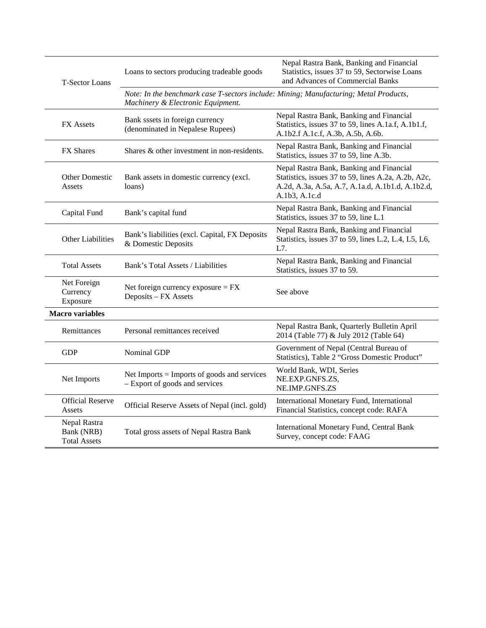| <b>T-Sector Loans</b>                             | Loans to sectors producing tradeable goods                                                                                 | Nepal Rastra Bank, Banking and Financial<br>Statistics, issues 37 to 59, Sectorwise Loans<br>and Advances of Commercial Banks                                        |
|---------------------------------------------------|----------------------------------------------------------------------------------------------------------------------------|----------------------------------------------------------------------------------------------------------------------------------------------------------------------|
|                                                   | Note: In the benchmark case T-sectors include: Mining; Manufacturing; Metal Products,<br>Machinery & Electronic Equipment. |                                                                                                                                                                      |
| FX Assets                                         | Bank sssets in foreign currency<br>(denominated in Nepalese Rupees)                                                        | Nepal Rastra Bank, Banking and Financial<br>Statistics, issues 37 to 59, lines A.1a.f, A.1b1.f,<br>A.1b2.f A.1c.f, A.3b, A.5b, A.6b.                                 |
| FX Shares                                         | Shares & other investment in non-residents.                                                                                | Nepal Rastra Bank, Banking and Financial<br>Statistics, issues 37 to 59, line A.3b.                                                                                  |
| <b>Other Domestic</b><br>Assets                   | Bank assets in domestic currency (excl.<br>loans)                                                                          | Nepal Rastra Bank, Banking and Financial<br>Statistics, issues 37 to 59, lines A.2a, A.2b, A2c,<br>A.2d, A.3a, A.5a, A.7, A.1a.d, A.1b1.d, A.1b2.d,<br>A.1b3, A.1c.d |
| Capital Fund                                      | Bank's capital fund                                                                                                        | Nepal Rastra Bank, Banking and Financial<br>Statistics, issues 37 to 59, line L.1                                                                                    |
| Other Liabilities                                 | Bank's liabilities (excl. Capital, FX Deposits<br>& Domestic Deposits                                                      | Nepal Rastra Bank, Banking and Financial<br>Statistics, issues 37 to 59, lines L.2, L.4, L5, L6,<br>L7.                                                              |
| <b>Total Assets</b>                               | Bank's Total Assets / Liabilities                                                                                          | Nepal Rastra Bank, Banking and Financial<br>Statistics, issues 37 to 59.                                                                                             |
| Net Foreign<br>Currency<br>Exposure               | Net foreign currency exposure $=$ $FX$<br>Deposits - FX Assets                                                             | See above                                                                                                                                                            |
| <b>Macro variables</b>                            |                                                                                                                            |                                                                                                                                                                      |
| Remittances                                       | Personal remittances received                                                                                              | Nepal Rastra Bank, Quarterly Bulletin April<br>2014 (Table 77) & July 2012 (Table 64)                                                                                |
| <b>GDP</b>                                        | Nominal GDP                                                                                                                | Government of Nepal (Central Bureau of<br>Statistics), Table 2 "Gross Domestic Product"                                                                              |
| Net Imports                                       | Net Imports = Imports of goods and services<br>- Export of goods and services                                              | World Bank, WDI, Series<br>NE.EXP.GNFS.ZS,<br>NE.IMP.GNFS.ZS                                                                                                         |
| <b>Official Reserve</b><br>Assets                 | Official Reserve Assets of Nepal (incl. gold)                                                                              | International Monetary Fund, International<br>Financial Statistics, concept code: RAFA                                                                               |
| Nepal Rastra<br>Bank (NRB)<br><b>Total Assets</b> | Total gross assets of Nepal Rastra Bank                                                                                    | International Monetary Fund, Central Bank<br>Survey, concept code: FAAG                                                                                              |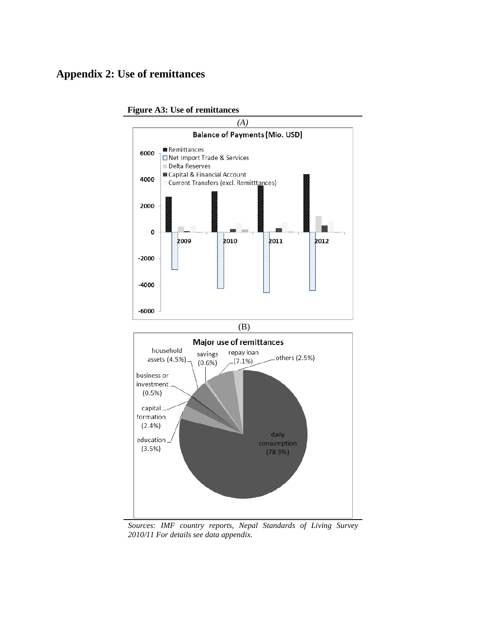## **Appendix 2: Use of remittances**



**Figure A3: Use of remittances**

*Sources: IMF country reports, Nepal Standards of Living Survey 2010/11 For details see data appendix.*